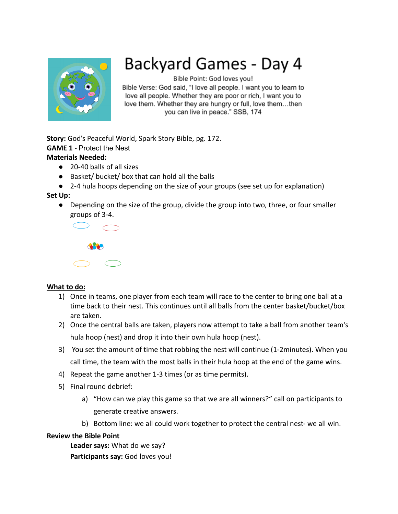

# Backyard Games - Day 4

Bible Point: God loves you!

Bible Verse: God said, "I love all people. I want you to learn to love all people. Whether they are poor or rich, I want you to love them. Whether they are hungry or full, love them...then you can live in peace." SSB, 174

**Story:** God's Peaceful World, Spark Story Bible, pg. 172. **GAME 1** - Protect the Nest **Materials Needed:**

- 20-40 balls of all sizes
- Basket/ bucket/ box that can hold all the balls
- 2-4 hula hoops depending on the size of your groups (see set up for explanation)

## **Set Up:**

● Depending on the size of the group, divide the group into two, three, or four smaller groups of 3-4.



## **What to do:**

- 1) Once in teams, one player from each team will race to the center to bring one ball at a time back to their nest. This continues until all balls from the center basket/bucket/box are taken.
- 2) Once the central balls are taken, players now attempt to take a ball from another team's hula hoop (nest) and drop it into their own hula hoop (nest).
- 3) You set the amount of time that robbing the nest will continue (1-2minutes). When you call time, the team with the most balls in their hula hoop at the end of the game wins.
- 4) Repeat the game another 1-3 times (or as time permits).
- 5) Final round debrief:
	- a) "How can we play this game so that we are all winners?" call on participants to generate creative answers.
	- b) Bottom line: we all could work together to protect the central nest- we all win.

## **Review the Bible Point**

**Leader says:** What do we say?

**Participants say:** God loves you!